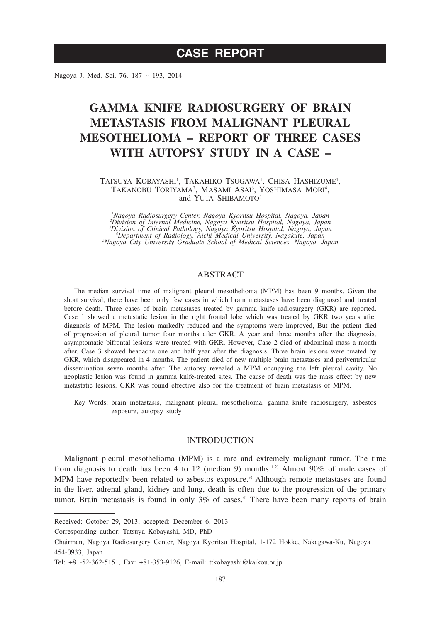Nagoya J. Med. Sci. **76**. 187 ~ 193, 2014

# **GAMMA KNIFE RADIOSURGERY OF BRAIN METASTASIS FROM MALIGNANT PLEURAL MESOTHELIOMA – REPORT OF THREE CASES WITH AUTOPSY STUDY IN A CASE –**

#### TATSUYA KOBAYASHI<sup>1</sup>, TAKAHIKO TSUGAWA<sup>1</sup>, CHISA HASHIZUME<sup>1</sup>, TAKANOBU TORIYAMA<sup>2</sup>, MASAMI ASAI<sup>3</sup>, YOSHIMASA MORI<sup>4</sup>, and YUTA SHIBAMOTO5

*1 Nagoya Radiosurgery Center, Nagoya Kyoritsu Hospital, Nagoya, Japan 2 Division of Internal Medicine, Nagoya Kyoritsu Hospital, Nagoya, Japan* <sup>3</sup>Division of Clinical Pathology, Nagoya Kyoritsu Hospital, Nagoya, Japan<br><sup>4</sup>Department of Radiology, Aichi Medical University, Nagakute, Japan<br><sup>5</sup>Nagoya City University Graduate School of Medical Sciences, Nagoya, Japan

## ABSTRACT

The median survival time of malignant pleural mesothelioma (MPM) has been 9 months. Given the short survival, there have been only few cases in which brain metastases have been diagnosed and treated before death. Three cases of brain metastases treated by gamma knife radiosurgery (GKR) are reported. Case 1 showed a metastatic lesion in the right frontal lobe which was treated by GKR two years after diagnosis of MPM. The lesion markedly reduced and the symptoms were improved, But the patient died of progression of pleural tumor four months after GKR. A year and three months after the diagnosis, asymptomatic bifrontal lesions were treated with GKR. However, Case 2 died of abdominal mass a month after. Case 3 showed headache one and half year after the diagnosis. Three brain lesions were treated by GKR, which disappeared in 4 months. The patient died of new multiple brain metastases and periventricular dissemination seven months after. The autopsy revealed a MPM occupying the left pleural cavity. No neoplastic lesion was found in gamma knife-treated sites. The cause of death was the mass effect by new metastatic lesions. GKR was found effective also for the treatment of brain metastasis of MPM.

Key Words: brain metastasis, malignant pleural mesothelioma, gamma knife radiosurgery, asbestos exposure, autopsy study

#### INTRODUCTION

Malignant pleural mesothelioma (MPM) is a rare and extremely malignant tumor. The time from diagnosis to death has been 4 to 12 (median 9) months.<sup>1,2)</sup> Almost 90% of male cases of MPM have reportedly been related to asbestos exposure.<sup>3)</sup> Although remote metastases are found in the liver, adrenal gland, kidney and lung, death is often due to the progression of the primary tumor. Brain metastasis is found in only  $3\%$  of cases.<sup>4)</sup> There have been many reports of brain

Corresponding author: Tatsuya Kobayashi, MD, PhD

Received: October 29, 2013; accepted: December 6, 2013

Chairman, Nagoya Radiosurgery Center, Nagoya Kyoritsu Hospital, 1-172 Hokke, Nakagawa-Ku, Nagoya 454-0933, Japan

Tel: +81-52-362-5151, Fax: +81-353-9126, E-mail: ttkobayashi@kaikou.or.jp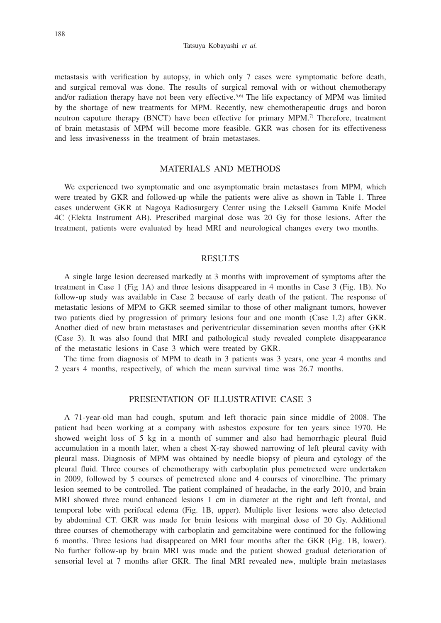metastasis with verification by autopsy, in which only 7 cases were symptomatic before death, and surgical removal was done. The results of surgical removal with or without chemotherapy and/or radiation therapy have not been very effective.<sup>5,6)</sup> The life expectancy of MPM was limited by the shortage of new treatments for MPM. Recently, new chemotherapeutic drugs and boron neutron caputure therapy (BNCT) have been effective for primary MPM.7) Therefore, treatment of brain metastasis of MPM will become more feasible. GKR was chosen for its effectiveness and less invasivenesss in the treatment of brain metastases.

## MATERIALS AND METHODS

We experienced two symptomatic and one asymptomatic brain metastases from MPM, which were treated by GKR and followed-up while the patients were alive as shown in Table 1. Three cases underwent GKR at Nagoya Radiosurgery Center using the Leksell Gamma Knife Model 4C (Elekta Instrument AB). Prescribed marginal dose was 20 Gy for those lesions. After the treatment, patients were evaluated by head MRI and neurological changes every two months.

#### RESULTS

A single large lesion decreased markedly at 3 months with improvement of symptoms after the treatment in Case 1 (Fig 1A) and three lesions disappeared in 4 months in Case 3 (Fig. 1B). No follow-up study was available in Case 2 because of early death of the patient. The response of metastatic lesions of MPM to GKR seemed similar to those of other malignant tumors, however two patients died by progression of primary lesions four and one month (Case 1,2) after GKR. Another died of new brain metastases and periventricular dissemination seven months after GKR (Case 3). It was also found that MRI and pathological study revealed complete disappearance of the metastatic lesions in Case 3 which were treated by GKR.

The time from diagnosis of MPM to death in 3 patients was 3 years, one year 4 months and 2 years 4 months, respectively, of which the mean survival time was 26.7 months.

#### PRESENTATION OF ILLUSTRATIVE CASE 3

A 71-year-old man had cough, sputum and left thoracic pain since middle of 2008. The patient had been working at a company with asbestos exposure for ten years since 1970. He showed weight loss of 5 kg in a month of summer and also had hemorrhagic pleural fluid accumulation in a month later, when a chest X-ray showed narrowing of left pleural cavity with pleural mass. Diagnosis of MPM was obtained by needle biopsy of pleura and cytology of the pleural fluid. Three courses of chemotherapy with carboplatin plus pemetrexed were undertaken in 2009, followed by 5 courses of pemetrexed alone and 4 courses of vinorelbine. The primary lesion seemed to be controlled. The patient complained of headache, in the early 2010, and brain MRI showed three round enhanced lesions 1 cm in diameter at the right and left frontal, and temporal lobe with perifocal edema (Fig. 1B, upper). Multiple liver lesions were also detected by abdominal CT. GKR was made for brain lesions with marginal dose of 20 Gy. Additional three courses of chemotherapy with carboplatin and gemcitabine were continued for the following 6 months. Three lesions had disappeared on MRI four months after the GKR (Fig. 1B, lower). No further follow-up by brain MRI was made and the patient showed gradual deterioration of sensorial level at 7 months after GKR. The final MRI revealed new, multiple brain metastases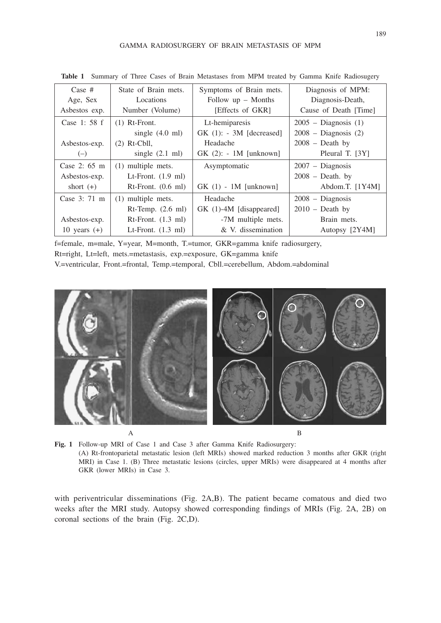#### GAMMA RADIOSURGERY OF BRAIN METASTASIS OF MPM

| Case $#$               | State of Brain mets.            | Symptoms of Brain mets.    | Diagnosis of MPM:        |
|------------------------|---------------------------------|----------------------------|--------------------------|
| Age, Sex               | Locations                       | Follow $up$ – Months       | Diagnosis-Death,         |
| Asbestos exp.          | Number (Volume)                 | [Effects of GKR]           | Cause of Death [Time]    |
| Case 1: 58 f           | $(1)$ Rt-Front.                 | Lt-hemiparesis             | $2005$ – Diagnosis $(1)$ |
|                        | single $(4.0 \text{ ml})$       | $GK(1)$ : - 3M [decreased] | $2008 - Diagnosis(2)$    |
| Asbestos-exp.          | $(2)$ Rt-Cbll,                  | Headache                   | $2008$ – Death by        |
| $(-)$                  | single $(2.1 \text{ ml})$       | $GK(2)$ : - 1M [unknown]   | Pleural T. [3Y]          |
| Case 2: $65 \text{ m}$ | $(1)$ multiple mets.            | Asymptomatic               | $2007 - Diagnosis$       |
| Asbestos-exp.          | Lt-Front. $(1.9 \text{ ml})$    |                            | $2008 - Death.$ by       |
| short $(+)$            | $Rt$ -Front. $(0.6 \text{ ml})$ | $GK(1) - 1M$ [unknown]     | Abdom.T. $[1Y4M]$        |
| Case 3: 71 m           | (1) multiple mets.              | Headache                   | 2008 - Diagnosis         |
|                        | $Rt$ -Temp. $(2.6 \text{ ml})$  | GK (1)-4M [disappeared]    | $2010$ – Death by        |
| Asbestos-exp.          | $Rt$ -Front. $(1.3 \text{ ml})$ | -7M multiple mets.         | Brain mets.              |
| 10 years $(+)$         | Lt-Front. $(1.3 \text{ ml})$    | & V. dissemination         | Autopsy [2Y4M]           |

**Table 1** Summary of Three Cases of Brain Metastases from MPM treated by Gamma Knife Radiosugery

f=female, m=male, Y=year, M=month, T.=tumor, GKR=gamma knife radiosurgery, Rt=right, Lt=left, mets.=metastasis, exp.=exposure, GK=gamma knife V.=ventricular, Front.=frontal, Temp.=temporal, Cbll.=cerebellum, Abdom.=abdominal



**Fig. 1** Follow-up MRI of Case 1 and Case 3 after Gamma Knife Radiosurgery: (A) Rt-frontoparietal metastatic lesion (left MRIs) showed marked reduction 3 months after GKR (right MRI) in Case 1. (B) Three metastatic lesions (circles, upper MRIs) were disappeared at 4 months after GKR (lower MRIs) in Case 3.

with periventricular disseminations (Fig. 2A,B). The patient became comatous and died two weeks after the MRI study. Autopsy showed corresponding findings of MRIs (Fig. 2A, 2B) on coronal sections of the brain (Fig. 2C,D).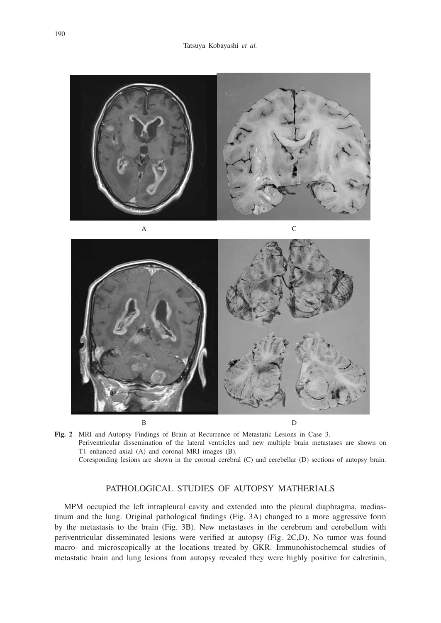



**Fig. 2** MRI and Autopsy Findings of Brain at Recurrence of Metastatic Lesions in Case 3. Periventricular dissemination of the lateral ventricles and new multiple brain metastases are shown on T1 enhanced axial (A) and coronal MRI images (B). Coresponding lesions are shown in the coronal cerebral (C) and cerebellar (D) sections of autopsy brain.

# PATHOLOGICAL STUDIES OF AUTOPSY MATHERIALS

MPM occupied the left intrapleural cavity and extended into the pleural diaphragma, mediastinum and the lung. Original pathological findings (Fig. 3A) changed to a more aggressive form by the metastasis to the brain (Fig. 3B). New metastases in the cerebrum and cerebellum with periventricular disseminated lesions were verified at autopsy (Fig. 2C,D). No tumor was found macro- and microscopically at the locations treated by GKR. Immunohistochemcal studies of metastatic brain and lung lesions from autopsy revealed they were highly positive for calretinin,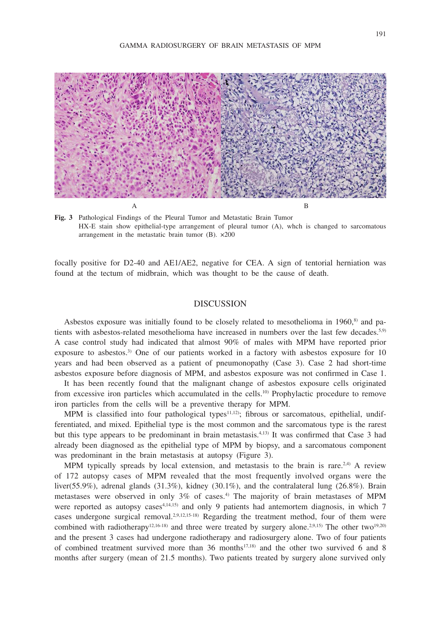

**Fig. 3** Pathological Findings of the Pleural Tumor and Metastatic Brain Tumor HX-E stain show epithelial-type arrangement of pleural tumor (A), whch is changed to sarcomatous arrangement in the metastatic brain tumor (B). ×200

focally positive for D2-40 and AE1/AE2, negative for CEA. A sign of tentorial herniation was found at the tectum of midbrain, which was thought to be the cause of death.

## DISCUSSION

Asbestos exposure was initially found to be closely related to mesothelioma in 1960,<sup>8)</sup> and patients with asbestos-related mesothelioma have increased in numbers over the last few decades.<sup>5,9)</sup> A case control study had indicated that almost 90% of males with MPM have reported prior exposure to asbestos.<sup>3)</sup> One of our patients worked in a factory with asbestos exposure for 10 years and had been observed as a patient of pneumonopathy (Case 3). Case 2 had short-time asbestos exposure before diagnosis of MPM, and asbestos exposure was not confirmed in Case 1.

It has been recently found that the malignant change of asbestos exposure cells originated from excessive iron particles which accumulated in the cells.10) Prophylactic procedure to remove iron particles from the cells will be a preventive therapy for MPM.

MPM is classified into four pathological types<sup>11,12)</sup>; fibrous or sarcomatous, epithelial, undifferentiated, and mixed. Epithelial type is the most common and the sarcomatous type is the rarest but this type appears to be predominant in brain metastasis.4,13) It was confirmed that Case 3 had already been diagnosed as the epithelial type of MPM by biopsy, and a sarcomatous component was predominant in the brain metastasis at autopsy (Figure 3).

MPM typically spreads by local extension, and metastasis to the brain is rare.<sup>2,4)</sup> A review of 172 autopsy cases of MPM revealed that the most frequently involved organs were the liver(55.9%), adrenal glands (31.3%), kidney (30.1%), and the contralateral lung (26.8%). Brain metastases were observed in only  $3\%$  of cases.<sup>4)</sup> The majority of brain metastases of MPM were reported as autopsy cases<sup>4,14,15)</sup> and only 9 patients had antemortem diagnosis, in which 7 cases undergone surgical removal.<sup>2,9,12,15-18)</sup> Regarding the treatment method, four of them were combined with radiotherapy<sup>12,16-18)</sup> and three were treated by surgery alone.<sup>2,9,15</sup>) The other two<sup>19,20</sup> and the present 3 cases had undergone radiotherapy and radiosurgery alone. Two of four patients of combined treatment survived more than 36 months<sup>17,18)</sup> and the other two survived 6 and 8 months after surgery (mean of 21.5 months). Two patients treated by surgery alone survived only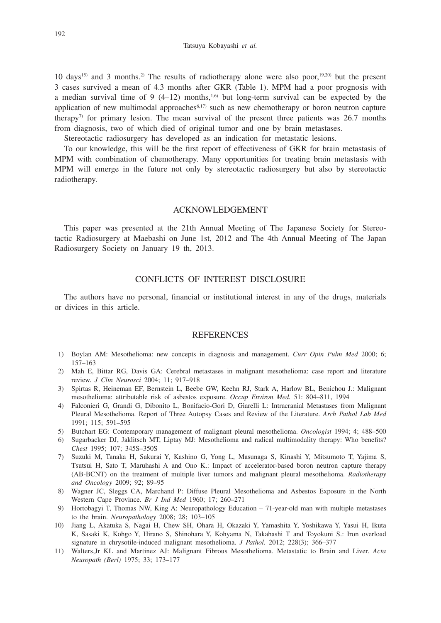10 days<sup>15)</sup> and 3 months.<sup>2)</sup> The results of radiotherapy alone were also poor,<sup>19,20</sup>) but the present 3 cases survived a mean of 4.3 months after GKR (Table 1). MPM had a poor prognosis with a median survival time of 9  $(4-12)$  months,<sup>1,6)</sup> but long-term survival can be expected by the application of new multimodal approaches $6,17$ ) such as new chemotherapy or boron neutron capture therapy<sup>7)</sup> for primary lesion. The mean survival of the present three patients was  $26.7$  months from diagnosis, two of which died of original tumor and one by brain metastases.

Stereotactic radiosurgery has developed as an indication for metastatic lesions.

To our knowledge, this will be the first report of effectiveness of GKR for brain metastasis of MPM with combination of chemotherapy. Many opportunities for treating brain metastasis with MPM will emerge in the future not only by stereotactic radiosurgery but also by stereotactic radiotherapy.

#### ACKNOWLEDGEMENT

This paper was presented at the 21th Annual Meeting of The Japanese Society for Stereotactic Radiosurgery at Maebashi on June 1st, 2012 and The 4th Annual Meeting of The Japan Radiosurgery Society on January 19 th, 2013.

## CONFLICTS OF INTEREST DISCLOSURE

The authors have no personal, financial or institutional interest in any of the drugs, materials or divices in this article.

### **REFERENCES**

- 1) Boylan AM: Mesothelioma: new concepts in diagnosis and management. *Curr Opin Pulm Med* 2000; 6; 157–163
- 2) Mah E, Bittar RG, Davis GA: Cerebral metastases in malignant mesothelioma: case report and literature review. *J Clin Neurosci* 2004; 11; 917–918
- 3) Spirtas R, Heineman EF, Bernstein L, Beebe GW, Keehn RJ, Stark A, Harlow BL, Benichou J.: Malignant mesothelioma: attributable risk of asbestos exposure. *Occup Environ Med.* 51: 804–811, 1994
- 4) Falconieri G, Grandi G, Dibonito L, Bonifacio-Gori D, Giarelli L: Intracranial Metastases from Malignant Pleural Mesothelioma. Report of Three Autopsy Cases and Review of the Literature. *Arch Pathol Lab Med*  1991; 115; 591–595
- 5) Butchart EG: Contemporary management of malignant pleural mesothelioma. *Oncologist* 1994; 4; 488–500
- 6) Sugarbacker DJ, Jaklitsch MT, Liptay MJ: Mesothelioma and radical multimodality therapy: Who benefits? *Chest* 1995; 107; 345S–350S
- 7) Suzuki M, Tanaka H, Sakurai Y, Kashino G, Yong L, Masunaga S, Kinashi Y, Mitsumoto T, Yajima S, Tsutsui H, Sato T, Maruhashi A and Ono K.: Impact of accelerator-based boron neutron capture therapy (AB-BCNT) on the treatment of multiple liver tumors and malignant pleural mesothelioma. *Radiotherapy and Oncology* 2009; 92; 89–95
- 8) Wagner JC, Sleggs CA, Marchand P: Diffuse Pleural Mesothelioma and Asbestos Exposure in the North Western Cape Province. *Br J Ind Med* 1960; 17; 260–271
- 9) Hortobagyi T, Thomas NW, King A: Neuropathology Education 71-year-old man with multiple metastases to the brain. *Neuropathology* 2008; 28; 103–105
- 10) Jiang L, Akatuka S, Nagai H, Chew SH, Ohara H, Okazaki Y, Yamashita Y, Yoshikawa Y, Yasui H, Ikuta K, Sasaki K, Kohgo Y, Hirano S, Shinohara Y, Kohyama N, Takahashi T and Toyokuni S.: Iron overload signature in chrysotile-induced malignant mesothelioma. *J Pathol.* 2012; 228(3); 366–377
- 11) Walters,Jr KL and Martinez AJ: Malignant Fibrous Mesothelioma. Metastatic to Brain and Liver. *Acta Neuropath (Berl)* 1975; 33; 173–177